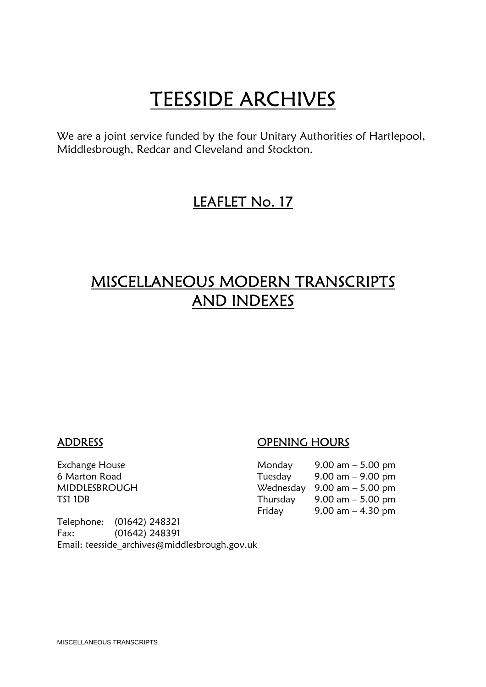**TEESSIDE ARCHIVES**<br>We are a joint service funded by the four Unitary Authorities of Hartlepool, Middlesbrough, Redcar and Cleveland and Stockton.

### LEAFLET No. 17

## MISCELLANEOUS MODERN TRANSCRIPTS AND INDEXES

#### ADDRESS OPENING HOURS

| Exchange House | Monday   | 9.00 am $-$ 5.00 pm                           |
|----------------|----------|-----------------------------------------------|
| 6 Marton Road  | Tuesday  | $9.00 \text{ am} - 9.00 \text{ pm}$           |
| MIDDLESBROUGH  |          | Wednesday $9.00 \text{ am} - 5.00 \text{ pm}$ |
| TS1 1DB        | Thursday | 9.00 am $-$ 5.00 pm                           |
|                | Friday   | 9.00 am $-$ 4.30 pm                           |

Telephone: (01642) 248321 Fax: (01642) 248391 Email: teesside\_archives@middlesbrough.gov.uk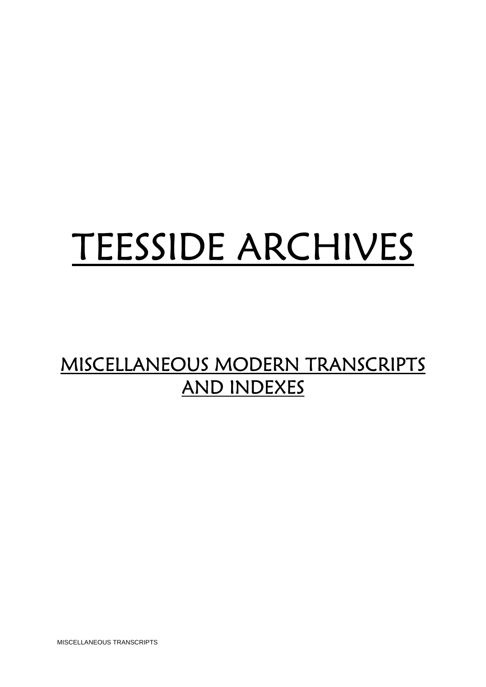# TEESSIDE ARCHIVES

## MISCELLANEOUS MODERN TRANSCRIPTS AND INDEXES

MISCELLANEOUS TRANSCRIPTS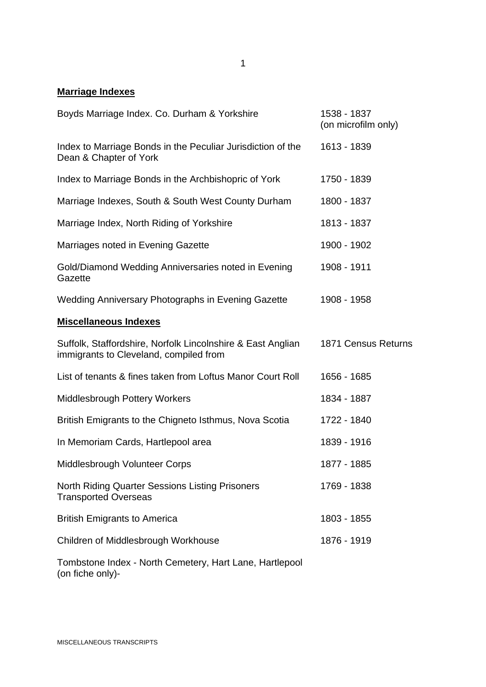#### **Marriage Indexes**

| Boyds Marriage Index. Co. Durham & Yorkshire                                                          | 1538 - 1837<br>(on microfilm only) |
|-------------------------------------------------------------------------------------------------------|------------------------------------|
| Index to Marriage Bonds in the Peculiar Jurisdiction of the<br>Dean & Chapter of York                 | 1613 - 1839                        |
| Index to Marriage Bonds in the Archbishopric of York                                                  | 1750 - 1839                        |
| Marriage Indexes, South & South West County Durham                                                    | 1800 - 1837                        |
| Marriage Index, North Riding of Yorkshire                                                             | 1813 - 1837                        |
| Marriages noted in Evening Gazette                                                                    | 1900 - 1902                        |
| Gold/Diamond Wedding Anniversaries noted in Evening<br>Gazette                                        | 1908 - 1911                        |
| Wedding Anniversary Photographs in Evening Gazette                                                    | 1908 - 1958                        |
| <b>Miscellaneous Indexes</b>                                                                          |                                    |
| Suffolk, Staffordshire, Norfolk Lincolnshire & East Anglian<br>immigrants to Cleveland, compiled from | 1871 Census Returns                |
| List of tenants & fines taken from Loftus Manor Court Roll                                            | 1656 - 1685                        |
| <b>Middlesbrough Pottery Workers</b>                                                                  | 1834 - 1887                        |
| British Emigrants to the Chigneto Isthmus, Nova Scotia                                                | 1722 - 1840                        |
| In Memoriam Cards, Hartlepool area                                                                    | 1839 - 1916                        |
| Middlesbrough Volunteer Corps                                                                         | 1877 - 1885                        |
| North Riding Quarter Sessions Listing Prisoners<br><b>Transported Overseas</b>                        | 1769 - 1838                        |
| <b>British Emigrants to America</b>                                                                   | 1803 - 1855                        |
| Children of Middlesbrough Workhouse                                                                   | 1876 - 1919                        |
| Tombstone Index - North Cemetery, Hart Lane, Hartlepool                                               |                                    |